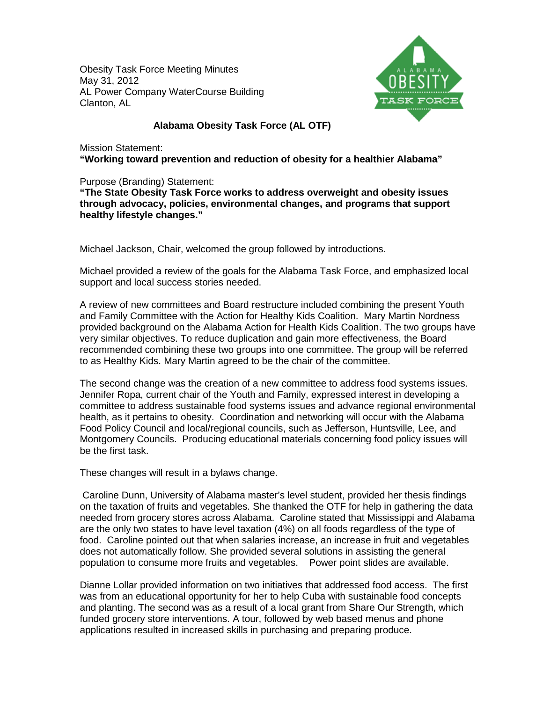Obesity Task Force Meeting Minutes May 31, 2012 AL Power Company WaterCourse Building Clanton, AL



## **Alabama Obesity Task Force (AL OTF)**

Mission Statement: **"Working toward prevention and reduction of obesity for a healthier Alabama"**

Purpose (Branding) Statement:

**"The State Obesity Task Force works to address overweight and obesity issues through advocacy, policies, environmental changes, and programs that support healthy lifestyle changes."**

Michael Jackson, Chair, welcomed the group followed by introductions.

Michael provided a review of the goals for the Alabama Task Force, and emphasized local support and local success stories needed.

A review of new committees and Board restructure included combining the present Youth and Family Committee with the Action for Healthy Kids Coalition. Mary Martin Nordness provided background on the Alabama Action for Health Kids Coalition. The two groups have very similar objectives. To reduce duplication and gain more effectiveness, the Board recommended combining these two groups into one committee. The group will be referred to as Healthy Kids. Mary Martin agreed to be the chair of the committee.

The second change was the creation of a new committee to address food systems issues. Jennifer Ropa, current chair of the Youth and Family, expressed interest in developing a committee to address sustainable food systems issues and advance regional environmental health, as it pertains to obesity. Coordination and networking will occur with the Alabama Food Policy Council and local/regional councils, such as Jefferson, Huntsville, Lee, and Montgomery Councils. Producing educational materials concerning food policy issues will be the first task.

These changes will result in a bylaws change.

Caroline Dunn, University of Alabama master's level student, provided her thesis findings on the taxation of fruits and vegetables. She thanked the OTF for help in gathering the data needed from grocery stores across Alabama. Caroline stated that Mississippi and Alabama are the only two states to have level taxation (4%) on all foods regardless of the type of food. Caroline pointed out that when salaries increase, an increase in fruit and vegetables does not automatically follow. She provided several solutions in assisting the general population to consume more fruits and vegetables. Power point slides are available.

Dianne Lollar provided information on two initiatives that addressed food access. The first was from an educational opportunity for her to help Cuba with sustainable food concepts and planting. The second was as a result of a local grant from Share Our Strength, which funded grocery store interventions. A tour, followed by web based menus and phone applications resulted in increased skills in purchasing and preparing produce.